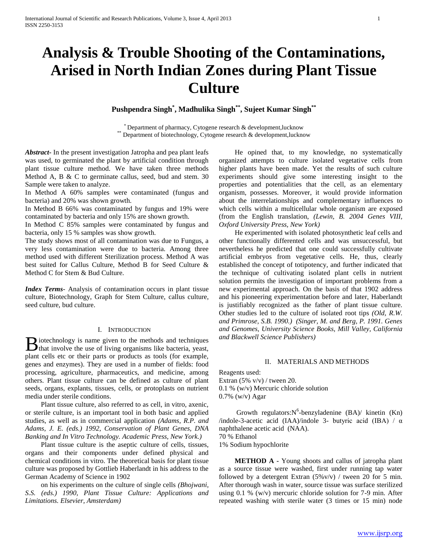# **Analysis & Trouble Shooting of the Contaminations, Arised in North Indian Zones during Plant Tissue Culture**

**Pushpendra Singh\* , Madhulika Singh\*\* , Sujeet Kumar Singh\*\***

\* Department of pharmacy, Cytogene research & development,lucknow \*\* Department of biotechnology, Cytogene research & development,lucknow

*Abstract***-** In the present investigation Jatropha and pea plant leafs was used, to germinated the plant by artificial condition through plant tissue culture method. We have taken three methods Method A, B & C to germinate callus, seed, bud and stem. 30 Sample were taken to analyze.

In Method A 60% samples were contaminated (fungus and bacteria) and 20% was shown growth.

In Method B 66% was contaminated by fungus and 19% were contaminated by bacteria and only 15% are shown growth.

In Method C 85% samples were contaminated by fungus and bacteria, only 15 % samples was show growth.

The study shows most of all contamination was due to Fungus, a very less contamination were due to bacteria. Among three method used with different Sterilization process. Method A was best suited for Callus Culture, Method B for Seed Culture & Method C for Stem & Bud Culture.

*Index Terms*- Analysis of contamination occurs in plant tissue culture, Biotechnology, Graph for Stem Culture, callus culture, seed culture, bud culture.

### I. INTRODUCTION

liotechnology is name given to the methods and techniques **th** involve the use of living organisms like bacteria, yeast, plant cells etc or their parts or products as tools (for example, genes and enzymes). They are used in a number of fields: food processing, agriculture, pharmaceutics, and medicine, among others. Plant tissue culture can be defined as culture of plant seeds, organs, explants, tissues, cells, or protoplasts on nutrient media under sterile conditions.

 Plant tissue culture, also referred to as cell, in vitro, axenic, or sterile culture, is an important tool in both basic and applied studies, as well as in commercial application *(Adams, R.P. and Adams, J. E. (eds.) 1992, Conservation of Plant Genes, DNA Banking and In Vitro Technology. Academic Press, New York.)*

 Plant tissue culture is the aseptic culture of cells, tissues, organs and their components under defined physical and chemical conditions in vitro. The theoretical basis for plant tissue culture was proposed by Gottlieb Haberlandt in his address to the German Academy of Science in 1902

 on his experiments on the culture of single cells *(Bhojwani, S.S. (eds.) 1990, Plant Tissue Culture: Applications and Limitations. Elsevier, Amsterdam)*

 He opined that, to my knowledge, no systematically organized attempts to culture isolated vegetative cells from higher plants have been made. Yet the results of such culture experiments should give some interesting insight to the properties and potentialities that the cell, as an elementary organism, possesses. Moreover, it would provide information about the interrelationships and complementary influences to which cells within a multicellular whole organism are exposed (from the English translation, *(Lewin, B. 2004 Genes VIII, Oxford University Press, New York)*

 He experimented with isolated photosynthetic leaf cells and other functionally differented cells and was unsuccessful, but nevertheless he predicted that one could successfully cultivate artificial embryos from vegetative cells. He, thus, clearly established the concept of totipotency, and further indicated that the technique of cultivating isolated plant cells in nutrient solution permits the investigation of important problems from a new experimental approach. On the basis of that 1902 address and his pioneering experimentation before and later, Haberlandt is justifiably recognized as the father of plant tissue culture. Other studies led to the culture of isolated root tips *(Old, R.W. and Primrose, S.B. 1990.) (Singer, M. and Berg, P. 1991. Genes and Genomes, University Science Books, Mill Valley, California and Blackwell Science Publishers)*

# II. MATERIALS AND METHODS

Reagents used: Extran  $(5\% \text{ v/v})$  / tween 20. 0.1 % (w/v) Mercuric chloride solution 0.7% (w/v) Agar

Growth regulators:  $N^6$ -benzyladenine (BA)/ kinetin (Kn) /indole-3-acetic acid (IAA)/indole 3- butyric acid (IBA) /  $\alpha$ naphthalene acetic acid (NAA). 70 % Ethanol 1% Sodium hypochlorite

 **METHOD A -** Young shoots and callus of jatropha plant as a source tissue were washed, first under running tap water followed by a detergent Extran  $(5\%v/v)$  / tween 20 for 5 min. After thorough wash in water, source tissue was surface sterilized using 0.1 % (w/v) mercuric chloride solution for 7-9 min. After repeated washing with sterile water (3 times or 15 min) node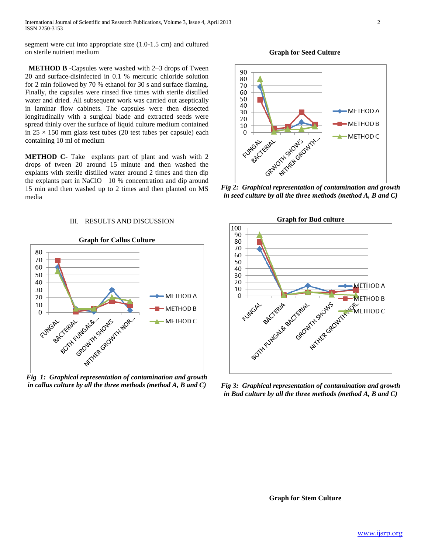International Journal of Scientific and Research Publications, Volume 3, Issue 4, April 2013 2 ISSN 2250-3153

segment were cut into appropriate size (1.0-1.5 cm) and cultured on sterile nutrient medium

 **METHOD B -**Capsules were washed with 2–3 drops of Tween 20 and surface-disinfected in 0.1 % mercuric chloride solution for 2 min followed by 70 % ethanol for 30 s and surface flaming. Finally, the capsules were rinsed five times with sterile distilled water and dried. All subsequent work was carried out aseptically in laminar flow cabinets. The capsules were then dissected longitudinally with a surgical blade and extracted seeds were spread thinly over the surface of liquid culture medium contained in  $25 \times 150$  mm glass test tubes (20 test tubes per capsule) each containing 10 ml of medium

**METHOD C-** Take explants part of plant and wash with 2 drops of tween 20 around 15 minute and then washed the explants with sterile distilled water around 2 times and then dip the explants part in NaClO 10 % concentration and dip around 15 min and then washed up to 2 times and then planted on MS media

## III. RESULTS AND DISCUSSION



*Fig 1: Graphical representation of contamination and growth in callus culture by all the three methods (method A, B and C)*



*in seed culture by all the three methods (method A, B and C)*



*Fig 3: Graphical representation of contamination and growth in Bud culture by all the three methods (method A, B and C)*

**Graph for Stem Culture**

 **Graph for Seed Culture**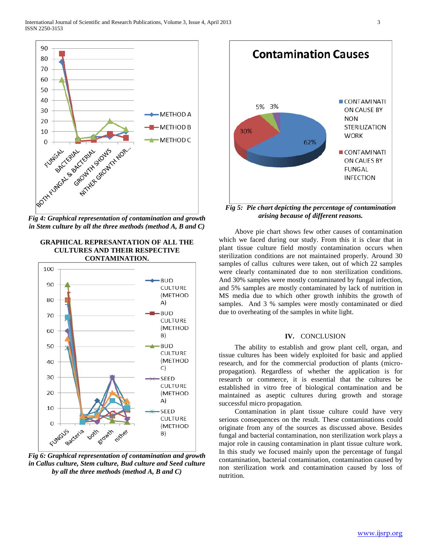

*in Stem culture by all the three methods (method A, B and C)*

# **GRAPHICAL REPRESANTATION OF ALL THE CULTURES AND THEIR RESPECTIVE CONTAMINATION.**



*Fig 6: Graphical representation of contamination and growth in Callus culture, Stem culture, Bud culture and Seed culture by all the three methods (method A, B and C)*



*Fig 5: Pie chart depicting the percentage of contamination arising because of different reasons.*

 Above pie chart shows few other causes of contamination which we faced during our study. From this it is clear that in plant tissue culture field mostly contamination occurs when sterilization conditions are not maintained properly. Around 30 samples of callus cultures were taken, out of which 22 samples were clearly contaminated due to non sterilization conditions. And 30% samples were mostly contaminated by fungal infection, and 5% samples are mostly contaminated by lack of nutrition in MS media due to which other growth inhibits the growth of samples. And 3 % samples were mostly contaminated or died due to overheating of the samples in white light.

## **IV.** CONCLUSION

 The ability to establish and grow plant cell, organ, and tissue cultures has been widely exploited for basic and applied research, and for the commercial production of plants (micropropagation). Regardless of whether the application is for research or commerce, it is essential that the cultures be established in vitro free of biological contamination and be maintained as aseptic cultures during growth and storage successful micro propagation.

 Contamination in plant tissue culture could have very serious consequences on the result. These contaminations could originate from any of the sources as discussed above. Besides fungal and bacterial contamination, non sterilization work plays a major role in causing contamination in plant tissue culture work. In this study we focused mainly upon the percentage of fungal contamination, bacterial contamination, contamination caused by non sterilization work and contamination caused by loss of nutrition.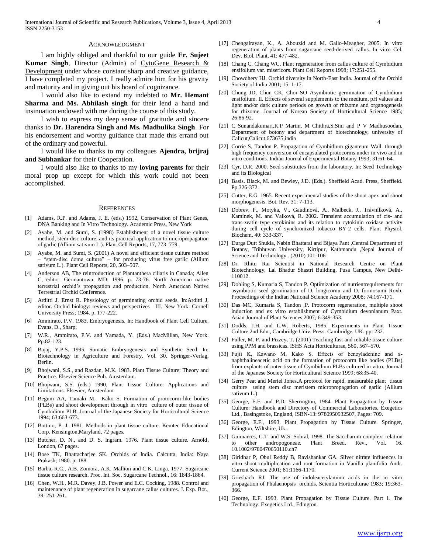#### ACKNOWLEDGMENT

 I am highly obliged and thankful to our guide **Er. Sujeet Kumar Singh**, Director (Admin) of CytoGene Research & Development under whose constant sharp and creative guidance, I have completed my project. I really admire him for his gravity and maturity and in giving out his hoard of cognizance.

 I would also like to extand my indebted to **Mr. Hemant Sharma and Ms. Abhilash singh** for their lend a hand and insinuation endowed with me during the course of this study.

 I wish to express my deep sense of gratitude and sincere thanks to **Dr. Harendra Singh and Ms. Madhulika Singh**. For his endorsement and worthy guidance that made this errand out of the ordinary and powerful.

 I would like to thanks to my colleagues **Ajendra, brijraj and Subhankar** for their Cooperation.

 I would also like to thanks to my **loving parents** for their moral prop up except for which this work could not been accomplished.

#### **REFERENCES**

- [1] Adams, R.P. and Adams, J. E. (eds.) 1992, Conservation of Plant Genes, DNA Banking and In Vitro Technology. Academic Press, New York
- [2] Ayabe, M. and Sumi, S. (1998) Establishment of a novel tissue culture method, stem-disc culture, and its practical application to micropropagation of garlic (Allium sativum L.). Plant Cell Reports, 17, 773–779.
- [3] Ayabe, M. and Sumi, S. (2001) A novel and efficient tissue culture method – "stem-disc dome culture" – for producing virus free garlic (Allium sativum L.). Plant Cell Reports, 20, 503–507.
- [4] Anderson AB, The reintroduction of Plantanthera ciliaris in Canada; Allen C, editor. Germantown, MD; 1996. p. 73-76. North American native terrestrial orchid's propagation and production. North American Native Terrestrial Orchid Conference.
- [5] Arditti J, Ernst R. Physiology of germinating orchid seeds. In:Arditti J, editor. Orchid biology: reviews and perspectives—III. New York: Cornell University Press; 1984. p. 177-222.
- [6] Ammirato, P.V. 1983. Embryogenesis. In: Handbook of Plant Cell Culture. Evans, D., Sharp,
- [7] W.R., Ammirato, P.V. and Yamada, Y. (Eds.) MacMillan, New York. Pp.82-123.
- [8] Bajaj, Y.P.S. 1995. Somatic Embryogenesis and Synthetic Seed. In: Biotechnology in Agriculture and Forestry. Vol. 30. Springer-Verlag, Berlin.
- [9] Bhojwani, S.S., and Razdan, M.K. 1983. Plant Tissue Culture: Theory and Practice. Elsevier Science Pub. Amsterdam.
- [10] Bhojwani, S.S. (eds.) 1990, Plant Tissue Culture: Applications and Limitations. Elsevier, Amsterdam
- [11] Begum AA, Tamaki M, Kako S. Formation of protocorm-like bodies (PLBs) and shoot development through in vitro culture of outer tissue of Cymbidium PLB. Journal of the Japanese Society for Horticultural Science 1994; 63:663-673.
- [12] Bottino, P. J. 1981. Methods in plant tissue culture. Kemtec Educational Corp. Kensington,Maryland, 72 pages.
- [13] Butcher, D. N., and D. S. Ingram. 1976. Plant tissue culture. Arnold, London, 67 pages.
- [14] Bose TK, Bhattacharjee SK. Orchids of India. Calcutta, India: Naya Prakash; 1980. p. 188.
- [15] Barba, R.C., A.B. Zomora, A.K. Mallion and C.K. Linga, 1977. Sugarcane tissue culture research. Proc. Int. Soc. Sugarcane Technol., 16: 1843-1864.
- [16] Chen, W.H., M.R. Davey, J.B. Power and E.C. Cocking, 1988. Control and maintenance of plant regeneration in sugarcane callus cultures. J. Exp. Bot., 39: 251-261.
- [17] Chengalrayan, K., A. Abouzid and M. Gallo-Meagher, 2005. In vitro regeneration of plants from sugarcane seed-derived callus. In vitro Cel. Dev. Biol. Plant, 41: 477-482.
- [18] Chang C, Chang WC. Plant regeneration from callus culture of Cymbidium ensifolium var. misericors. Plant Cell Reports 1998; 17:251-255.
- [19] Chowdhery HJ. Orchid diversity in North-East India. Journal of the Orchid Society of India 2001; 15: 1-17.
- [20] Chung JD, Chun CK, Choi SO Asymbiotic germination of Cymbidium ensifolium. II. Effects of several supplements to the medium, pH values and light and/or dark culture periods on growth of rhizome and organogenesis for rhizome. Journal of Korean Society of Horticultural Science 1985; 26:86-92.
- [21] C Sunandakumari,K.P Martin, M Chithra,S.Sini and P V Madhusoodan, Department of botony and department of biotechnology, university of Calicut,Calicut 673635,india
- [22] Corrie S, Tandon P. Propagation of Cymbidium giganteum Wall. through high frequency conversion of encapsulated protocorms under in vivo and in vitro conditions. Indian Journal of Experimental Botany 1993; 31:61-64.
- [23] Cyr, D.R. 2000. Seed substitutes from the laboratory. In: Seed Technology and its Biological
- [24] Basis. Black, M. and Bewley, J.D. (Eds.). Sheffield Acad. Press, Sheffield. Pp.326-372.
- [25] Cutter, E.G. 1965. Recent experimental studies of the shoot apex and shoot morphogenesis. Bot. Rev. 31: 7-113.
- [26] Dobrev, P., Motyka, V., Gaudinová, A., Malbeck, J., Trávnílková, A., Kamínek, M. and Valková, R. 2002. Transient accumulation of cis- and trans-zeatin type cytokinins and its relation to cytokinin oxidase activity during cell cycle of synchronized tobacco BY-2 cells. Plant Physiol. Biochem. 40: 333-337.
- [27] Durga Dutt Shukla, Nabin Bhattarai and Bijaya Pant ,Central Department of Botany, Tribhuvan University, Kirtipur, Kathmandu ,Nepal Journal of Science and Technology . (2010) 101-106
- [28] Dr. Rhitu Rai Scientist in National Research Centre on Plant Biotechnology, Lal Bhadur Shastri Building, Pusa Campus, New Delhi-110012.
- [29] Dohling S, Kumaria S, Tandon P. Optimization of nutrientrequirements for asymbiotic seed germination of D. longicornu and D. formosumi Roxb. Proceedings of the Indian National Science Academy 2008; 74:167-171.
- [30] Das MC, Kumaria S, Tandon ,P. Protocorm regeneration, multiple shoot induction and ex vitro establishment of Cymbidium devonianum Paxt. Asian Journal of Plant Sciences 2007; 6:349-353.
- [31] Dodds, J.H. and L.W. Roberts, 1985. Experiments in Plant Tissue Culture.2nd Edn., Cambridge Univ. Press. Cambridge, UK. pp: 232.
- [32] Fuller, M. P. and Pizzey, T. (2001) Teaching fast and reliable tissue culture using PPM and brassicas. ISHS Acta Horticulturae, 560, 567–570.
- [33] Fujii K, Kawano M, Kako S. Effects of benzyladenine and αnaphthalineacetic acid on the formation of protocorm like bodies (PLBs) from explants of outer tissue of Cymbidium PLBs cultured in vitro. Journal of the Japanese Society for Horticultural Science 1999; 68:35-40.
- [34] Gerry Peat and Meriel Jones.A protocol for rapid, measurable plant tissue culture using stem disc meristem micropropagation of garlic (Allium sativum L.)
- [35] George, E.F. and P.D. Sherrington, 1984. Plant Propagation by Tissue Culture: Handbook and Directory of Commercial Laboratories. Exegetics Ltd., Basingstoke, England, ISBN-13: 9780950932507, Pages: 709.
- [36] George, E.F., 1993. Plant Propagation by Tissue Culture. Springer, Edington, Wiltshire, Uk..
- [37] Guimarces, C.T. and W.S. Sobral, 1998. The Saccharum complex: relation to other andropogoneae. Plant Breed. Rev., Vol. 16. 10.1002/9780470650110.ch7
- [38] Giridhar P, Obul Reddy B, Ravishankar GA. Silver nitrate influences in vitro shoot multiplication and root formation in Vanilla planifolia Andr. Current Science 2001; 81:1166-1170.
- [39] Griesbach RJ. The use of indoleacetylamino acids in the in vitro propagation of Phalaenopsis orchids. Scientia Horticulturae 1983; 19:363- 366.
- [40] George, E.F. 1993. Plant Propagation by Tissue Culture. Part 1. The Technology. Exegetics Ltd., Edington.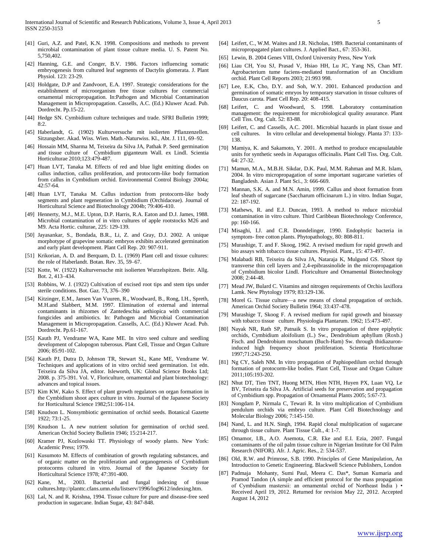- [41] Guri, A.Z. and Patel, K.N. 1998. Compositions and methods to prevent microbial contamination of plant tissue culture media. U. S. Patent No. 5,750,402.
- [42] Hanning, G.E. and Conger, B.V. 1986. Factors influencing somatic embryogenesis from cultured leaf segments of Dactylis glomerata. J. Plant Physiol. 123: 23-29.
- [43] Holdgate, D.P and Zandvoort, E.A. 1997. Strategic considerations for the establishment of microorganism free tissue cultures for commercial ornamental micropropagation. In:Pathogen and Microbial Contamination Management in Micropropagation. Cassells, A.C. (Ed.) Kluwer Acad. Pub. Dordrecht. Pp.15-22.
- [44] Hedge SN. Cymbidium culture techniques and trade. SFRI Bulletin 1999;  $8.2$
- [45] Haberlandt, G. (1902) Kulturversuche mit isolierten Pflanzenzellen. Sitzungsber. Akad. Wiss. Wien. Math.-Naturwiss. Kl., Abt. J. 111, 69–92.
- [46] Hossain MM, Sharma M, Teixeira da Silva JA, Pathak P. Seed germination and tissue culture of Cymbidium giganteum Wall. ex Lindl. Scientia Horticulturae 2010;123:479-487.
- [47] Huan LVT, Tanaka M. Effects of red and blue light emitting diodes on callus induction, callus proliferation, and protocorm-like body formation from callus in Cymbidium orchid. Environmental Control Biology 2004a; 42:57-64.
- [48] Huan LVT, Tanaka M. Callus induction from protocorm-like body segments and plant regeneration in Cymbidium (Orchidaceae). Journal of Horticultural Science and Biotechnology 2004b; 79:406-410.
- [49] Hennerty, M.J., M.E. Upton, D.P. Harris, R.A. Eaton and D.J. James, 1988. Microbial contamination of in vitro cultures of apple rootstocks M26 and M9. Acta Hortic. culturae, 225: 129-139.
- [50] Jayasankar, S., Bondada, B.R., Li, Z. and Gray, D.J. 2002. A unique morphotype of grapevine somatic embryos exhibits accelerated germination and early plant development. Plant Cell Rep. 20: 907-911.
- [51] Krikorian, A. D. and Berquam, D. L. (1969) Plant cell and tissue cultures: the role of Haberlandt. Botan. Rev. 35, 59–67.
- [52] Kotte, W. (1922) Kulturversuche mit isolierten Wurzelspitzen. Beitr. Allg. Bot. 2, 413–434.
- [53] Robbins, W. J. (1922) Cultivation of excised root tips and stem tips under sterile conditions. Bot. Gaz. 73, 376–390
- [54] Kitzinger, E.M., Jansen Van Vuuren, R., Woodward, B., Rong, I.H., Spreth, M.H.and Slabbert, M.M. 1997. Elimination of external and internal contaminants in rhizomes of Zantedeschia aethiopica with commercial fungicides and antibiotics. In: Pathogen and Microbial Contamination Management in Micropropagation. Cassells, A.C. (Ed.) Kluwer Acad. Pub. Dordrecht. Pp.61-167.
- [55] Kauth PJ, Vendrame WA, Kane ME. In vitro seed culture and seedling development of Calopogon tuberosus. Plant Cell, Tissue and Organ Culture 2006; 85:91-102.
- [56] Kauth PJ, Dutra D, Johnson TR, Stewart SL, Kane ME, Vendrame W. Techniques and applications of in vitro orchid seed germination. 1st edn. Teixeira da Silva JA, editor. Isleworth, UK: Global Science Books Ltd; 2008. p. 375-391. Vol. V, Floriculture, ornamental and plant biotechnology: advances and topical issues.
- [57] Kim KW, Kako S. Effect of plant growth regulators on organ formation in the Cymbidium shoot apex culture in vitro. Journal of the Japanese Society for Horticultural Science 1982;51:106-114.
- [58] Knudson L. Nonsymbiotic germination of orchid seeds. Botanical Gazette 1922; 73:1-25.
- [59] Knudson L. A new nutrient solution for germination of orchid seed. American Orchid Society Bulletin 1946; 15:214-217.
- [60] Kramer PJ, Kozlowaski TT. Physiology of woody plants. New York: Academic Press; 1979.
- [61] Kusumoto M. Effects of combination of growth regulating substances, and of organic matter on the proliferation and organogenesis of Cymbidium protocorms cultured in vitro. Journal of the Japanese Society for Horticultural Science 1978; 47:391-400.
- [62] Kane, M., 2003. Bacterial and fungal indexing of tissue cultures.http://planttc.cfans.umn.edu/listserv/1996/log9612/indexing.htm.
- [63] Lal, N. and R. Krishna, 1994. Tissue culture for pure and disease-free seed production in sugarcane. Indian Sugar, 43: 847-848.
- [64] Leifert, C., W.M. Waites and J.R. Nicholas, 1989. Bacterial contaminants of micropropagated plant cultures. J. Applied Bact., 67: 353-361.
- [65] Lewin, B. 2004 Genes VIII, Oxford University Press, New York
- [66] Liau CH, You SJ, Prasad V, Hsiao HH, Lu JC, Yang NS, Chan MT. Agrobacterium tume faciens-mediated transformation of an Oncidium orchid. Plant Cell Reports 2003; 21:993 998.
- [67] Lee, E.K, Cho, D.Y. and Soh, W.Y. 2001. Enhanced production and germination of somatic emryos by temporary starvation in tissue cultures of Daucus carota. Plant Cell Rep. 20: 408-415.
- [68] Leifert, C. and Woodward, S. 1998. Laboratory contamination management: the requirement for microbiological quality assurance. Plant Cell Tiss. Org. Cult. 52: 83-88.
- [69] Leifert, C. and Cassells, A.C. 2001. Microbial hazards in plant tissue and cell cultures. In vitro cellular and developmental biology. Planta 37: 133- 138.
- [70] Mamiya, K. and Sakamoto, Y. 2001. A method to produce encapsulatable units for synthetic seeds in Asparagus officinalis. Plant Cell Tiss. Org. Cult. 64: 27-32.
- [71] Mamun, M.A., M.B.H. Sikdar, D.K. Paul, M.M. Rahman and M.R. Islam, 2004. In vitro micropropagation of some important sugarcane varieties of Bangladesh. Asian J. Plant Sci., 3: 666-669.
- [72] Mannan, S.K. A. and M.N. Amin, 1999. Callus and shoot formation from leaf sheath of sugarcane (Saccharum officinarum L.) in vitro. Indian Sugar, 22: 187-192.
- [73] Mathews, R. and E.J. Duncan, 1993. A method to reduce microbial contamination in vitro culture. Third Caribbean Biotechnology Conference, pp: 160-166.
- [74] Misaghi, I.J. and C.R. Donndelinger, 1990. Endophytic bacteria in symptom- free cotton plants. Phytopathology, 80: 808-811.
- [75] Murashige, T. and F. Skoog, 1962. A revised medium for rapid growth and bio assays with tobacco tissue cultures. Physiol. Plant., 15: 473-497.
- [76] Malabadi RB, Teixeira da Silva JA, Nataraja K, Mulgund GS. Shoot tip transverse thin cell layers and 2,4-epibrassinolide in the micropropagation of Cymbidium bicolor Lindl. Floriculture and Ornamental Biotechnology 2008; 2:44-48.
- [77] Mead JW, Bulard C. Vitamins and nitrogen requirements of Orchis laxiflora Lamk. New Phytology 1979; 83:129-136.
- [78] Morel G. Tissue culture—a new means of clonal propagation of orchids. American Orchid Society Bulletin 1964; 33:437-478.
- [79] Murashige T, Skoog F. A revised medium for rapid growth and bioassay with tobacco tissue culture. Physiologia Plantarum. 1962; 15:473-497.
- [80] Nayak NR, Rath SP, Patnaik S. In vitro propagation of three epiphytic orchids, Cymbidium aloifolium (L.) Sw., Dendrobium aphyllum (Roxb.) Fisch. and Dendrobium moschatum (Buch-Ham) Sw. through thidiazuroninduced high frequency shoot proliferation. Scientia Horticulturae 1997;71:243-250.
- [81] Ng CY, Saleh NM. In vitro propagation of Paphiopedilum orchid through formation of protocorm-like bodies. Plant Cell, Tissue and Organ Culture 2011;105:193-202.
- [82] Nhut DT, Tien TNT, Huong MTN, Hien NTH, Huyen PX, Luan VQ, Le BV, Teixeira da Silva JA. Artificial seeds for preservation and propagation of Cymbidium spp. Propagation of Ornamental Plants 2005; 5:67-73.
- [83] Nongdam P, Nirmala C, Tewari R. In vitro multiplication of Cymbidium pendulum orchids via embryo culture. Plant Cell Biotechnology and Molecular Biology 2006; 7:145-150.
- [84] Nand, L. and H.N. Singh, 1994. Rapid clonal multiplication of sugarcane through tissue culture. Plant Tissue Cult., 4: 1-7.
- [85] Omamor, I.B., A.O. Asemota, C.R. Eke and E.I. Ezia, 2007. Fungal contaminants of the oil palm tissue culture in Nigerian Institute for Oil Palm Research (NIFOR). Afr. J. Agric. Res., 2: 534-537.
- [86] Old, R.W. and Primrose, S.B. 1990. Principles of Gene Manipulation, An Introduction to Genetic Engineering. Blackwell Science Publishers, London
- [87] Padmaja Mohanty, Sumi Paul, Meera C. Das\*, Suman Kumaria and Pramod Tandon (A simple and efficient protocol for the mass propagation of Cymbidium mastersii: an ornamental orchid of Northeast India ) • Received April 19, 2012. Returned for revision May 22, 2012. Accepted August 14, 2012